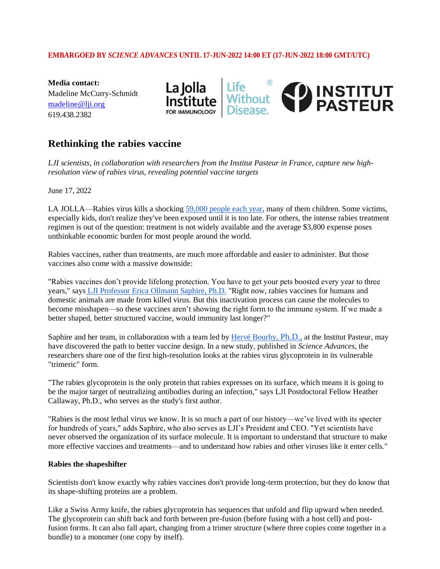## **EMBARGOED BY** *SCIENCE ADVANCES* **UNTIL 17-JUN-2022 14:00 ET (17-JUN-2022 18:00 GMT/UTC)**

**Media contact:** Madeline McCurry-Schmidt [m](mailto:madeline@lji.org)adeline@lji.org 619.438.2382



# **Rethinking the rabies vaccine**

*LJI scientists, in collaboration with researchers from the Institut Pasteur in France, capture new highresolution view of rabies virus, revealing potential vaccine targets*

June 17, 2022

LA JOLLA—Rabies virus kills a shocking [59,000 people each year,](https://www.cdc.gov/rabies/location/world/index.html#:~:text=Each%20year%2C%20rabies%20causes%20approximately%2059%2C000%20deaths%20worldwide.) many of them children. Some victims, especially kids, don't realize they've been exposed until it is too late. For others, the intense rabies treatment regimen is out of the question: treatment is not widely available and the average \$3,800 expense poses unthinkable economic burden for most people around the world.

Rabies vaccines, rather than treatments, are much more affordable and easier to administer. But those vaccines also come with a massive downside:

"Rabies vaccines don't provide lifelong protection. You have to get your pets boosted every year to three years," says [LJI Professor Erica Ollmann Saphire, Ph.D.](https://www.lji.org/labs/saphire/) "Right now, rabies vaccines for humans and domestic animals are made from killed virus. But this inactivation process can cause the molecules to become misshapen—so these vaccines aren't showing the right form to the immune system. If we made a better shaped, better structured vaccine, would immunity last longer?"

Saphire and her team, in collaboration with a team led by [Hervé Bourhy,](https://research.pasteur.fr/en/member/herve-bourhy/) Ph.D., at the Institut Pasteur, may have discovered the path to better vaccine design. In a new study, published in *Science Advances*, the researchers share one of the first high-resolution looks at the rabies virus glycoprotein in its vulnerable "trimeric" form.

"The rabies glycoprotein is the only protein that rabies expresses on its surface, which means it is going to be the major target of neutralizing antibodies during an infection," says LJI Postdoctoral Fellow Heather Callaway, Ph.D., who serves as the study's first author.

"Rabies is the most lethal virus we know. It is so much a part of our history—we've lived with its specter for hundreds of years," adds Saphire, who also serves as LJI's President and CEO. "Yet scientists have never observed the organization of its surface molecule. It is important to understand that structure to make more effective vaccines and treatments—and to understand how rabies and other viruses like it enter cells."

## **Rabies the shapeshifter**

Scientists don't know exactly why rabies vaccines don't provide long-term protection, but they do know that its shape-shifting proteins are a problem.

Like a Swiss Army knife, the rabies glycoprotein has sequences that unfold and flip upward when needed. The glycoprotein can shift back and forth between pre-fusion (before fusing with a host cell) and postfusion forms. It can also fall apart, changing from a trimer structure (where three copies come together in a bundle) to a monomer (one copy by itself).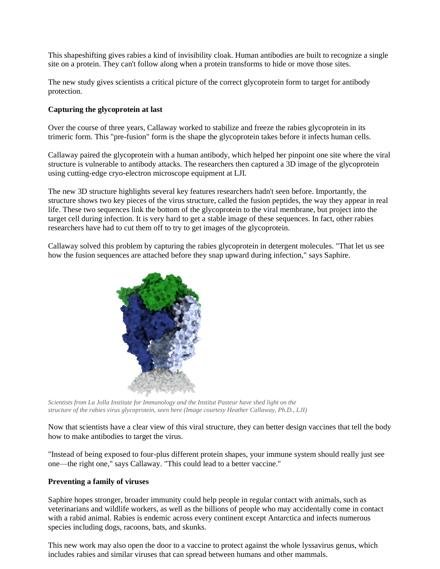This shapeshifting gives rabies a kind of invisibility cloak. Human antibodies are built to recognize a single site on a protein. They can't follow along when a protein transforms to hide or move those sites.

The new study gives scientists a critical picture of the correct glycoprotein form to target for antibody protection.

### **Capturing the glycoprotein at last**

Over the course of three years, Callaway worked to stabilize and freeze the rabies glycoprotein in its trimeric form. This "pre-fusion" form is the shape the glycoprotein takes before it infects human cells.

Callaway paired the glycoprotein with a human antibody, which helped her pinpoint one site where the viral structure is vulnerable to antibody attacks. The researchers then captured a 3D image of the glycoprotein using cutting-edge cryo-electron microscope equipment at LJI.

The new 3D structure highlights several key features researchers hadn't seen before. Importantly, the structure shows two key pieces of the virus structure, called the fusion peptides, the way they appear in real life. These two sequences link the bottom of the glycoprotein to the viral membrane, but project into the target cell during infection. It is very hard to get a stable image of these sequences. In fact, other rabies researchers have had to cut them off to try to get images of the glycoprotein.

Callaway solved this problem by capturing the rabies glycoprotein in detergent molecules. "That let us see how the fusion sequences are attached before they snap upward during infection," says Saphire.



*Scientists from La Jolla Institute for Immunology and the Institut Pasteur have shed light on the structure of the rabies virus glycoprotein, seen here (Image courtesy Heather Callaway, Ph.D., LJI)*

Now that scientists have a clear view of this viral structure, they can better design vaccines that tell the body how to make antibodies to target the virus.

"Instead of being exposed to four-plus different protein shapes, your immune system should really just see one—the right one," says Callaway. "This could lead to a better vaccine."

## **Preventing a family of viruses**

Saphire hopes stronger, broader immunity could help people in regular contact with animals, such as veterinarians and wildlife workers, as well as the billions of people who may accidentally come in contact with a rabid animal. Rabies is endemic across every continent except Antarctica and infects numerous species including dogs, racoons, bats, and skunks.

This new work may also open the door to a vaccine to protect against the whole lyssavirus genus, which includes rabies and similar viruses that can spread between humans and other mammals.